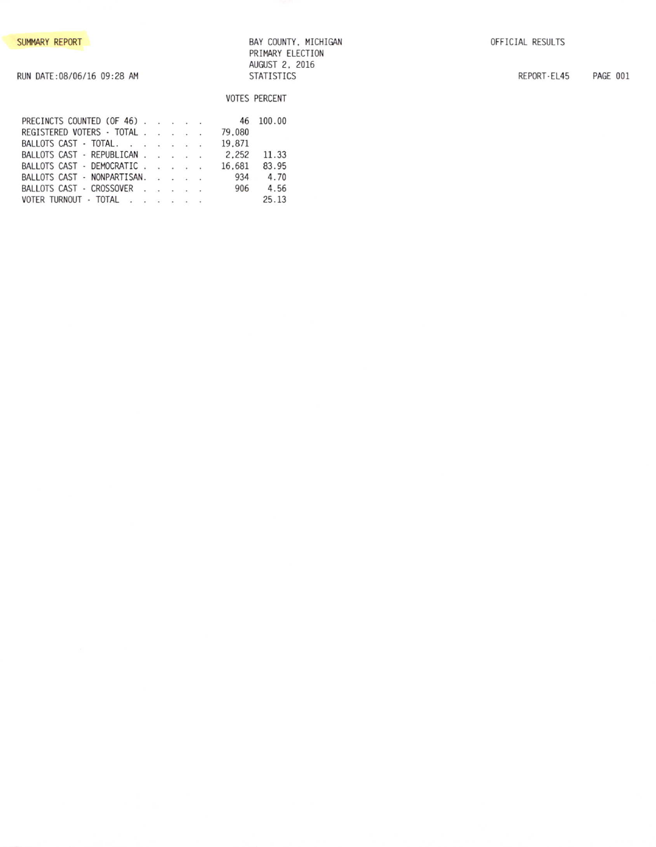BAY COUNTY, MICHIGAN PRIMARY ELECTION AUGUST 2, 2016 STATISTICS

VOTES PERCENT

REPORT-EL45 PAGE 001

| RUN DATE:08/06/16 09:28 AM |  |
|----------------------------|--|
|                            |  |

| PRECINCTS COUNTED (OF 46)   |  |  |        | 46 100.00 |
|-----------------------------|--|--|--------|-----------|
| REGISTERED VOTERS - TOTAL   |  |  | 79.080 |           |
| BALLOTS CAST - TOTAL.       |  |  | 19.871 |           |
| BALLOTS CAST - REPUBLICAN   |  |  | 2.252  | 11.33     |
| BALLOTS CAST - DEMOCRATIC   |  |  | 16.681 | 83.95     |
| BALLOTS CAST - NONPARTISAN. |  |  | 934    | 4.70      |
| BALLOTS CAST - CROSSOVER    |  |  | 906    | 4.56      |
| VOTER TURNOUT - TOTAL       |  |  |        | 25.13     |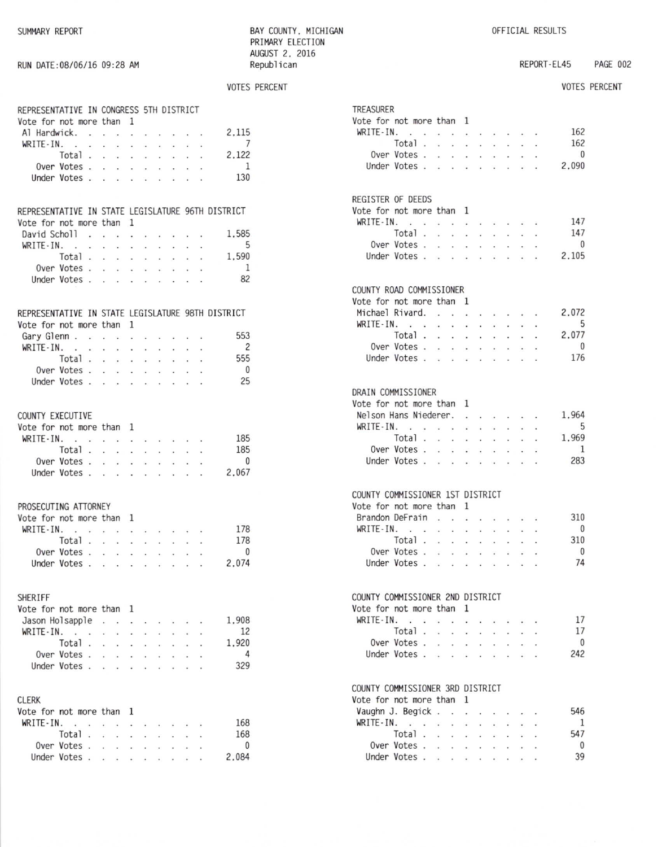RUN DATE: 08/06/16 09:28 AM

BAY COUNTY, MICHIGAN PRIMARY ELECTION AUGUST 2, 2016 Republican

VOTES PERCENT

REPORT-EL45 **PAGE 002** 

# VOTES PERCENT

| REPRESENTATIVE IN CONGRESS 5TH DISTRICT<br>Vote for not more than 1 |                         |                      |                                      |                            |                             |                                                                                                                                     |                                                                 |                            |                      |                                            |
|---------------------------------------------------------------------|-------------------------|----------------------|--------------------------------------|----------------------------|-----------------------------|-------------------------------------------------------------------------------------------------------------------------------------|-----------------------------------------------------------------|----------------------------|----------------------|--------------------------------------------|
| Al Hardwick.                                                        |                         |                      |                                      |                            |                             |                                                                                                                                     |                                                                 |                            |                      | 2.115<br>the company of the company of the |
| WRITE-IN.                                                           |                         |                      |                                      |                            |                             |                                                                                                                                     |                                                                 |                            |                      | 7                                          |
| Total                                                               |                         |                      |                                      |                            |                             | $\mathbf{x} = -\mathbf{x}$ . $\mathbf{x} = -\mathbf{x}$                                                                             | $\mathbf{X}^{\mathcal{C}}$ . In the $\mathcal{C}^{\mathcal{C}}$ |                            |                      | 2,122                                      |
| Over Votes .                                                        |                         | $\ddot{\phantom{a}}$ | $\sim$                               | $\ddot{\phantom{a}}$       | $\sim$                      | $\ddot{\phantom{a}}$                                                                                                                | $\sim$                                                          | $\ddot{\phantom{0}}$       |                      | $\overline{1}$                             |
| Under Votes                                                         |                         |                      |                                      |                            |                             | $\mathbf{r}$ . The set of $\mathbf{r}$                                                                                              | $\ddot{\phantom{1}}$                                            | $\ddot{\phantom{1}}$       |                      | 130                                        |
|                                                                     |                         |                      |                                      |                            |                             |                                                                                                                                     |                                                                 |                            |                      |                                            |
| REPRESENTATIVE IN STATE LEGISLATURE 96TH DISTRICT                   |                         |                      |                                      |                            |                             |                                                                                                                                     |                                                                 |                            |                      |                                            |
| Vote for not more than 1                                            |                         |                      |                                      |                            |                             |                                                                                                                                     |                                                                 |                            |                      |                                            |
| David Scholl                                                        |                         |                      |                                      |                            |                             |                                                                                                                                     |                                                                 |                            |                      | 1,585                                      |
| WRITE-IN.                                                           |                         | $\star$              |                                      |                            |                             | $\mathbf{x} = \mathbf{x} - \mathbf{x}$ , $\mathbf{x} = \mathbf{x}$ ,                                                                |                                                                 |                            |                      | - 5                                        |
| Total.                                                              |                         | $\ddot{\phantom{a}}$ | $\sim$                               | $\ddot{\phantom{a}}$       | $\sim$                      | $\sim$                                                                                                                              | $\overline{\phantom{a}}$                                        | $\ddot{\phantom{a}}$       | $\cdot$              | 1,590                                      |
| Over Votes                                                          |                         |                      |                                      |                            |                             |                                                                                                                                     | $\sim$                                                          |                            |                      | <sup>1</sup>                               |
| Under Votes                                                         |                         |                      |                                      |                            |                             |                                                                                                                                     |                                                                 |                            |                      | 82                                         |
|                                                                     |                         |                      |                                      |                            |                             |                                                                                                                                     |                                                                 |                            |                      |                                            |
| REPRESENTATIVE IN STATE LEGISLATURE 98TH DISTRICT                   |                         |                      |                                      |                            |                             |                                                                                                                                     |                                                                 |                            |                      |                                            |
| Vote for not more than 1                                            |                         |                      |                                      |                            |                             |                                                                                                                                     |                                                                 |                            |                      |                                            |
| Gary Glenn                                                          |                         |                      | $\mathcal{C}_{\bullet}(\mathcal{C})$ | $\mathbf{v} = -\mathbf{v}$ |                             | $\sim$                                                                                                                              | $\sim$                                                          | $\sim$                     | $\ddot{\phantom{1}}$ | 553                                        |
| WRITE-IN.                                                           | $\langle\bullet\rangle$ | $\sim$               | s.                                   | $\mathbf{u}$ .             | $\mathcal{L}_{\mathcal{A}}$ | $\cdot$                                                                                                                             | $\sim$                                                          | $\sim$                     |                      | 2                                          |
| Total $\ldots$ $\ldots$ $\ldots$                                    |                         |                      |                                      |                            |                             |                                                                                                                                     | $\ddot{\phantom{a}}$                                            | $\bullet$                  | $\ddot{\phantom{1}}$ | 555                                        |
| Over Votes                                                          |                         |                      |                                      |                            |                             |                                                                                                                                     |                                                                 |                            |                      | $\overline{0}$                             |
| Under Votes                                                         |                         |                      |                                      |                            |                             |                                                                                                                                     |                                                                 |                            |                      | 25                                         |
|                                                                     |                         |                      |                                      |                            |                             |                                                                                                                                     |                                                                 |                            |                      |                                            |
| COUNTY EXECUTIVE                                                    |                         |                      |                                      |                            |                             |                                                                                                                                     |                                                                 |                            |                      |                                            |
| Vote for not more than 1                                            |                         |                      |                                      |                            |                             |                                                                                                                                     |                                                                 |                            |                      |                                            |
| $WRITE-IN.$ .                                                       |                         | $\ddot{\phantom{a}}$ | $\ddot{\phantom{1}}$                 |                            |                             | $\mathbf{r}=\mathbf{r}+\mathbf{r}$ .                                                                                                | $\sim$ $\sim$                                                   |                            | $\sim$               | 185                                        |
| Total.                                                              |                         | $\cdot$              | $\sim$                               | $\cdot$                    | $\sim$                      | $\sim$                                                                                                                              | $\ddot{\phantom{1}}$                                            | $\sim$                     | $\cdot$              | 185                                        |
| Over Votes                                                          |                         |                      |                                      |                            |                             |                                                                                                                                     |                                                                 |                            |                      | $\overline{0}$                             |
| Under Votes                                                         |                         |                      |                                      |                            |                             |                                                                                                                                     |                                                                 |                            |                      | 2,067                                      |
|                                                                     |                         |                      |                                      |                            |                             |                                                                                                                                     |                                                                 |                            |                      |                                            |
| PROSECUTING ATTORNEY                                                |                         |                      |                                      |                            |                             |                                                                                                                                     |                                                                 |                            |                      |                                            |
| Vote for not more than 1                                            |                         |                      |                                      |                            |                             |                                                                                                                                     |                                                                 |                            |                      |                                            |
| $WRITE-IN.$                                                         |                         | ¥.                   | $\sim$                               | $\sim$                     |                             | $\sim$ $\sim$                                                                                                                       | $\cdot$ $\cdot$                                                 |                            | $\sim$               | 178                                        |
| Total.                                                              |                         | $\sim$               | $\sim$                               | $\sim$                     | $\sim$                      | $\sim$                                                                                                                              | $\mathcal{L}=\mathcal{L}$                                       |                            | $\cdot$              | 178                                        |
| Over Votes                                                          |                         |                      |                                      |                            |                             | $\begin{array}{cccccccccccccc} \bullet & \bullet & \bullet & \bullet & \bullet & \bullet & \bullet & \bullet & \bullet \end{array}$ |                                                                 |                            |                      | $\overline{0}$                             |
| Under Votes                                                         |                         |                      |                                      |                            |                             | the contract of the con-                                                                                                            |                                                                 |                            |                      | 2,074                                      |
|                                                                     |                         |                      |                                      |                            |                             |                                                                                                                                     |                                                                 |                            |                      |                                            |
| SHERIFF                                                             |                         |                      |                                      |                            |                             |                                                                                                                                     |                                                                 |                            |                      |                                            |
| Vote for not more than 1                                            |                         |                      |                                      |                            |                             |                                                                                                                                     |                                                                 |                            |                      |                                            |
| Jason Holsapple .                                                   |                         |                      | $\sim$                               | à.                         |                             |                                                                                                                                     | $\cdot$                                                         | $\sim$                     |                      | 1,908                                      |
| $WRITE - IN.$ .                                                     |                         | $\mathcal{L}$        | $\mathcal{L}_{\mathbf{r}}$ .         | a.                         | an i                        | w.                                                                                                                                  | $\mathcal{L}$                                                   | $\mathcal{L}_{\mathbf{z}}$ | s.                   | 12                                         |
| Total                                                               |                         |                      |                                      |                            | $\sim$                      | $\sim$                                                                                                                              | $\cdot$                                                         | $\sim$                     |                      | 1.920                                      |
| Over Votes                                                          |                         |                      | $\mathcal{L}_{\mathbf{a}}$ .         | $\mathbf{r}$               | $\ddot{\phantom{1}}$        | ¥.                                                                                                                                  | $\ddot{\phantom{0}}$                                            |                            |                      | $\overline{4}$                             |
| Under Votes.                                                        |                         | $\sim$               | $\sim$                               | ¥                          |                             | $\sim$                                                                                                                              | $\sim$                                                          |                            |                      | 329                                        |
| <b>CLERK</b>                                                        |                         |                      |                                      |                            |                             |                                                                                                                                     |                                                                 |                            |                      |                                            |
|                                                                     |                         |                      |                                      |                            |                             |                                                                                                                                     |                                                                 |                            |                      |                                            |
| Vote for not more than 1                                            |                         |                      |                                      |                            |                             |                                                                                                                                     |                                                                 |                            |                      |                                            |
| $WRITE-IN.$                                                         |                         |                      |                                      | $\ddot{\phantom{1}}$       |                             |                                                                                                                                     |                                                                 |                            |                      | 168                                        |
| Total.                                                              |                         | $\mathcal{L}$        | v.                                   | $\sim 40$                  |                             |                                                                                                                                     |                                                                 |                            |                      | 168                                        |
| Over Votes                                                          |                         |                      | $\cdot$                              | $\sim$                     |                             |                                                                                                                                     |                                                                 |                            |                      | 0                                          |
| Under Votes                                                         |                         |                      |                                      | $\cdot$ $\cdot$            |                             |                                                                                                                                     |                                                                 |                            |                      | 2,084                                      |

| <b>TREASURER</b><br>Vote for not more than 1<br>WRITE-IN.<br>Over Votes .<br>Under Votes.                                     | Total.                        | ä.<br><b>Carl</b><br>$\sim 10^{-11}$<br>$\mathcal{C}^{\mathcal{C}}_{\bullet}$                      | $\ddot{\phantom{0}}$<br>$\sim$<br>$\sim$<br>$\ddot{\phantom{1}}$       | $\ddot{\phantom{a}}$<br>143<br>$\sim$<br>$\bullet$                                            | $\mathcal{L}_{\mathcal{L}}$<br>$\ddot{\phantom{0}}$<br>÷. | $\begin{array}{cccccccccccccc} \bullet & \bullet & \bullet & \bullet & \bullet & \bullet & \bullet \end{array}$<br>$\mathcal{C}_{\bullet}$ .<br>$\sim$<br>$\ddot{\phantom{a}}$ | $\sim$<br>$\cdot$<br>$\bullet$                          | $\sim$<br>$\sim$<br>$\bullet$                                                       | $\ddot{\phantom{a}}$<br>$\ddot{\phantom{0}}$<br>$\ddot{\phantom{a}}$ | 162<br>162<br>$\overline{0}$<br>2.090                  |
|-------------------------------------------------------------------------------------------------------------------------------|-------------------------------|----------------------------------------------------------------------------------------------------|------------------------------------------------------------------------|-----------------------------------------------------------------------------------------------|-----------------------------------------------------------|--------------------------------------------------------------------------------------------------------------------------------------------------------------------------------|---------------------------------------------------------|-------------------------------------------------------------------------------------|----------------------------------------------------------------------|--------------------------------------------------------|
| REGISTER OF DEEDS<br>Vote for not more than 1<br>WRITE-IN.<br>Over Votes .<br>Under Votes .                                   | Total.                        | n.<br>$\mathbb{C}^{\infty}_{\bullet}$ .<br>$\sim$<br>$\alpha$                                      | $\sim$<br>$\ddot{\phantom{a}}$<br>$\ddot{\phantom{a}}$                 | $\ddot{\phantom{1}}$<br>$\sim$<br>$\sim 10^{-1}$<br>$\sim$                                    | $\ddot{\phantom{0}}$<br>ä,                                | $\ddot{\phantom{1}}$<br>$\sim$<br>$\ddot{\phantom{0}}$<br>÷.                                                                                                                   | $\sim$<br>$\blacksquare$<br>$\ddot{\phantom{0}}$        | $\sim$<br>$\bullet$ .<br>¥                                                          |                                                                      | 147<br>147<br>0<br>2.105                               |
| COUNTY ROAD COMMISSIONER<br>Vote for not more than 1<br>Michael Rivard. .<br>$WRITE-IN.$<br>Over Votes.<br>Under Votes.       | Total .                       | $\sim$ $\sim$<br>$\sim 10^{-1}$<br>$\mathbf{r}$<br>$\langle \hat{V}_{\mathbf{m}}^{(i)} \rangle$    | ÷.<br>$\mathcal{L}_{\mathcal{A}}$<br>÷.<br>$\mathbb{S}^{\mathbb{N}}$ . | $\ddot{\phantom{a}}$<br>$\sim$<br>$\sim$<br>×.<br>$\overline{\mathbb{Z}}$                     | $\mathbf{r}$<br>$\mathcal{L}_{\mathbf{z}}$<br>¥.          | $\cdot$ $\cdot$<br>$\cdots$<br>$\sim$<br>$\sim$<br>$\mathcal{G}_{\mathbf{a}}^{(n)}$                                                                                            | $\ddot{\phantom{0}}$<br>$\overline{\phantom{a}}$<br>L.  | $\ddot{\phantom{1}}$<br>$\cdot$<br>W.                                               |                                                                      | 2.072<br>$5^{\circ}$<br>2.077<br>$\overline{0}$<br>176 |
| DRAIN COMMISSIONER<br>Vote for not more than 1<br>Nelson Hans Niederer.<br>WRITE-IN.<br>Over Votes.<br>Under Votes.           | $\sim$ $\sim$<br>Total .      | $\mathcal{N}_{\bullet}$<br>$\mathbf{r}$<br>$\mathcal{C}_{\bullet}$ .                               | $\ddot{\phantom{0}}$<br>$\alpha$<br>ï.<br>$\mathcal{L}_{\mathcal{A}}$  | $\sim$<br>$\sim$<br>$\mathcal{C}^{\mathcal{C}}$<br>$\ddot{\phantom{a}}$<br>$\sim$             | Ý.<br>$\mathcal{L}_{\mathbf{r}}$                          | $\cdots$<br>$\cdot$ $\cdot$<br>$\sim$<br>$\sim$<br>$\ddot{\phantom{a}}$                                                                                                        | $\ddot{\phantom{a}}$<br>$\ddot{\phantom{0}}$<br>g.<br>÷ | $\bullet$ .<br>$\ddot{\phantom{0}}$<br>$\ddot{\phantom{a}}$<br>$\ddot{\phantom{a}}$ | ä,<br>$\ddot{\phantom{0}}$                                           | 1.964<br>5<br>1.969<br>1<br>283                        |
| COUNTY COMMISSIONER 1ST DISTRICT<br>Vote for not more than<br>Brandon DeFrain<br>WRITE-IN.<br>Over Votes .<br>Under Votes .   | Total<br>$\ddot{\phantom{a}}$ | $\ddot{\phantom{a}}$<br>$\sim$<br>$\ddot{\phantom{0}}$<br>$\overline{A}$<br>$\ddot{\phantom{1}}$   | $\cdot$ $\cdot$<br>$\sim$<br>ł.<br>$\mathcal{L}$<br>$\sim$             | 1<br>$\blacksquare$<br>$\mathcal{L}$<br>$\mathcal{L}^{\mathcal{L}}$ .<br>$\ddot{\phantom{a}}$ | $\omega$ .<br>$\ddot{\phantom{0}}$<br>÷.<br>÷.            | $\cdot$ $\cdot$<br>$\sim$<br>$\sim$<br>$\overline{\mathcal{C}}$<br>$\mathbf{V}$                                                                                                | $\dddot{\bullet}$<br>$\ddot{\phantom{0}}$<br>÷<br>÷,    | $\cdot$ $\cdot$<br>$\ddot{\phantom{0}}$<br>÷.                                       |                                                                      | 310<br>$\overline{0}$<br>310<br>- 0<br>74              |
| COUNTY COMMISSIONER 2ND DISTRICT<br>Vote for not more than<br>WRITE-IN. .<br>Over Votes.<br>Under Votes.                      | $\bar{a}$<br>Total.           | $\ddot{\phantom{a}}$<br>$\mathcal{L}_{\mathbf{a}}$<br>$\sim 10^{-1}$<br>$\mathcal{L}_{\mathbf{a}}$ | $\overline{\phantom{a}}$<br>$\ddot{\phantom{0}}$<br>$\cdot$            | 1<br>$\ddot{\phantom{a}}$<br>r.<br>$\ddot{\phantom{a}}$<br>÷,                                 | $\ddot{\phantom{0}}$<br>$\overline{a}$<br>İ.              |                                                                                                                                                                                |                                                         |                                                                                     |                                                                      | 17<br>17<br>0<br>242                                   |
| COUNTY COMMISSIONER 3RD DISTRICT<br>Vote for not more than<br>Vaughn J. Begick.<br>WRITE-IN. .<br>Over Votes.<br>Under Votes. | ¥<br>Total<br>$\mathbb{R}^2$  | $\sim$<br>÷<br>$\ddot{\phantom{0}}$<br>$\ddot{\phantom{a}}$                                        | ï<br>÷.                                                                | 1<br>$\ddot{\phantom{0}}$                                                                     |                                                           |                                                                                                                                                                                |                                                         |                                                                                     |                                                                      | 546<br>1<br>547<br>0<br>39                             |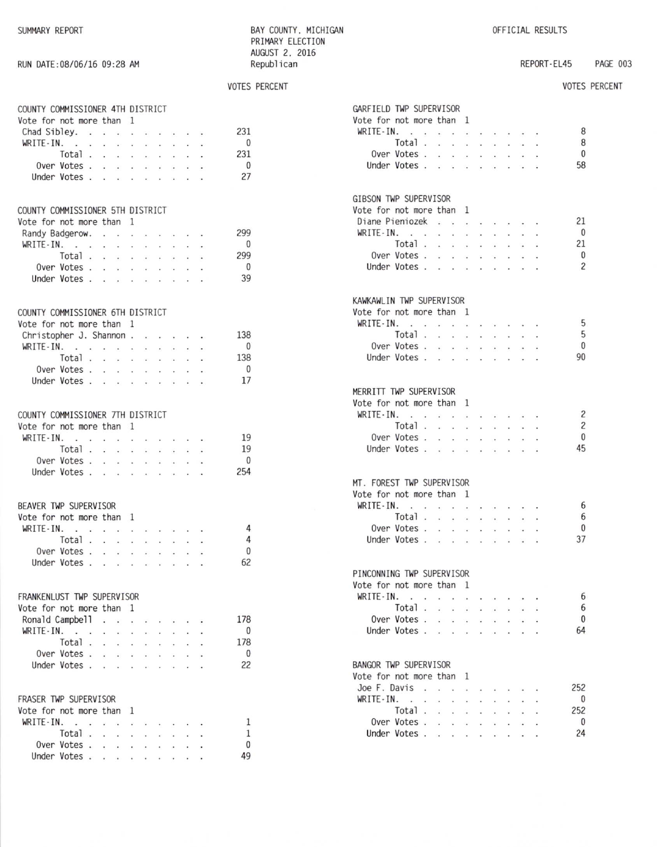RUN DATE: 08/06/16 09:28 AM

BAY COUNTY, MICHIGAN PRIMARY ELECTION AUGUST 2, 2016 Republican

REPORT-EL45 PAGE 003

## VOTES PERCENT

|                                  |                     |                             |                                                                                                                                                                                                                                                                                                                                                                                                                                      |                         |                      |                                                                                                              |        |                                                |                             |                          | <b>VOTES PERCENT</b> |
|----------------------------------|---------------------|-----------------------------|--------------------------------------------------------------------------------------------------------------------------------------------------------------------------------------------------------------------------------------------------------------------------------------------------------------------------------------------------------------------------------------------------------------------------------------|-------------------------|----------------------|--------------------------------------------------------------------------------------------------------------|--------|------------------------------------------------|-----------------------------|--------------------------|----------------------|
|                                  |                     |                             |                                                                                                                                                                                                                                                                                                                                                                                                                                      |                         |                      |                                                                                                              |        |                                                |                             |                          |                      |
| COUNTY COMMISSIONER 4TH DISTRICT |                     |                             |                                                                                                                                                                                                                                                                                                                                                                                                                                      |                         |                      |                                                                                                              |        |                                                |                             |                          |                      |
| Vote for not more than 1         |                     |                             |                                                                                                                                                                                                                                                                                                                                                                                                                                      |                         |                      |                                                                                                              |        |                                                |                             |                          |                      |
| Chad Sibley.                     |                     |                             |                                                                                                                                                                                                                                                                                                                                                                                                                                      |                         |                      |                                                                                                              |        |                                                |                             | 231                      |                      |
| WRITE-IN.                        |                     |                             | and the control of the con-                                                                                                                                                                                                                                                                                                                                                                                                          |                         |                      |                                                                                                              |        | $\sim$ $\sim$ $\sim$                           |                             | $\overline{0}$           |                      |
|                                  | Total .             |                             | the contract of the contract and                                                                                                                                                                                                                                                                                                                                                                                                     |                         |                      |                                                                                                              |        |                                                |                             | 231                      |                      |
|                                  | Over Votes          |                             |                                                                                                                                                                                                                                                                                                                                                                                                                                      |                         |                      |                                                                                                              |        |                                                |                             | $\overline{\mathbf{0}}$  |                      |
|                                  | Under Votes.        | $\mathbf{r}$                | $\sim$                                                                                                                                                                                                                                                                                                                                                                                                                               | v.                      | $\ddot{\phantom{a}}$ |                                                                                                              |        | $\mathbf{r}$ and $\mathbf{r}$ and $\mathbf{r}$ |                             | 27                       |                      |
|                                  |                     |                             |                                                                                                                                                                                                                                                                                                                                                                                                                                      |                         |                      |                                                                                                              |        |                                                |                             |                          |                      |
| COUNTY COMMISSIONER 5TH DISTRICT |                     |                             |                                                                                                                                                                                                                                                                                                                                                                                                                                      |                         |                      |                                                                                                              |        |                                                |                             |                          |                      |
| Vote for not more than 1         |                     |                             |                                                                                                                                                                                                                                                                                                                                                                                                                                      |                         |                      |                                                                                                              |        |                                                |                             |                          |                      |
|                                  |                     |                             |                                                                                                                                                                                                                                                                                                                                                                                                                                      |                         |                      |                                                                                                              |        |                                                |                             |                          |                      |
| Randy Badgerow.                  |                     |                             |                                                                                                                                                                                                                                                                                                                                                                                                                                      |                         |                      |                                                                                                              |        |                                                |                             | 299                      |                      |
| WRITE-IN.                        |                     |                             | a construction of the construction                                                                                                                                                                                                                                                                                                                                                                                                   |                         |                      |                                                                                                              |        |                                                |                             | $\mathbf{0}$             |                      |
|                                  | Total .             |                             | .                                                                                                                                                                                                                                                                                                                                                                                                                                    |                         |                      |                                                                                                              |        |                                                |                             | 299                      |                      |
|                                  | Over Votes          |                             | $\mathcal{C}(\mathcal{C})$                                                                                                                                                                                                                                                                                                                                                                                                           | $\mathbf{x}$ .          | $\sim$ $\sim$        |                                                                                                              | $\sim$ | $\sim$                                         | $\sim$                      | $\overline{0}$           |                      |
|                                  | Under Votes         |                             |                                                                                                                                                                                                                                                                                                                                                                                                                                      |                         |                      |                                                                                                              |        |                                                |                             | 39                       |                      |
|                                  |                     |                             |                                                                                                                                                                                                                                                                                                                                                                                                                                      |                         |                      |                                                                                                              |        |                                                |                             |                          |                      |
| COUNTY COMMISSIONER 6TH DISTRICT |                     |                             |                                                                                                                                                                                                                                                                                                                                                                                                                                      |                         |                      |                                                                                                              |        |                                                |                             |                          |                      |
| Vote for not more than 1         |                     |                             |                                                                                                                                                                                                                                                                                                                                                                                                                                      |                         |                      |                                                                                                              |        |                                                |                             |                          |                      |
| Christopher J. Shannon           |                     |                             |                                                                                                                                                                                                                                                                                                                                                                                                                                      |                         |                      |                                                                                                              |        |                                                |                             | 138                      |                      |
|                                  |                     |                             |                                                                                                                                                                                                                                                                                                                                                                                                                                      |                         |                      |                                                                                                              |        |                                                |                             | $\mathbf{0}$             |                      |
| WRITE-IN.                        | Total .             | $\mathcal{L}^{\mathcal{L}}$ | $\mathcal{L}(\mathcal{C})$                                                                                                                                                                                                                                                                                                                                                                                                           | $\mathcal{L}$           |                      | $\sim$ $\sim$                                                                                                |        | $\Delta\phi=0.1$                               | $\mathcal{L}^{\mathcal{L}}$ | 138                      |                      |
|                                  | Over Votes          |                             |                                                                                                                                                                                                                                                                                                                                                                                                                                      |                         |                      |                                                                                                              |        |                                                |                             | $\overline{\phantom{0}}$ |                      |
|                                  | Under Votes.        |                             |                                                                                                                                                                                                                                                                                                                                                                                                                                      |                         |                      |                                                                                                              |        |                                                |                             | 17                       |                      |
|                                  |                     |                             |                                                                                                                                                                                                                                                                                                                                                                                                                                      |                         |                      |                                                                                                              |        |                                                |                             |                          |                      |
|                                  |                     |                             |                                                                                                                                                                                                                                                                                                                                                                                                                                      |                         |                      |                                                                                                              |        |                                                |                             |                          |                      |
| COUNTY COMMISSIONER 7TH DISTRICT |                     |                             |                                                                                                                                                                                                                                                                                                                                                                                                                                      |                         |                      |                                                                                                              |        |                                                |                             |                          |                      |
| Vote for not more than 1         |                     |                             |                                                                                                                                                                                                                                                                                                                                                                                                                                      |                         |                      |                                                                                                              |        |                                                |                             |                          |                      |
| WRITE-IN.                        |                     |                             | the contract of the contract of the con-                                                                                                                                                                                                                                                                                                                                                                                             |                         |                      |                                                                                                              |        |                                                |                             | 19                       |                      |
|                                  | Total .             |                             | $\cdot$ $\cdot$                                                                                                                                                                                                                                                                                                                                                                                                                      |                         |                      | $\mathbf{x}=\mathbf{x}^{\prime}$ , $\mathbf{x}=\mathbf{x}^{\prime}$ , $\mathbf{x}=\mathbf{x}$ , $\mathbf{x}$ |        |                                                |                             | $\frac{1}{19}$           |                      |
|                                  | Over Votes .        |                             | $\cdot$ $\cdot$                                                                                                                                                                                                                                                                                                                                                                                                                      |                         | $\sim$ $\sim$ $\sim$ |                                                                                                              |        | $\cdot$ $\cdot$ $\cdot$                        |                             | $\overline{0}$           |                      |
|                                  | Under Votes         |                             |                                                                                                                                                                                                                                                                                                                                                                                                                                      |                         |                      |                                                                                                              |        |                                                |                             | 254                      |                      |
|                                  |                     |                             |                                                                                                                                                                                                                                                                                                                                                                                                                                      |                         |                      |                                                                                                              |        |                                                |                             |                          |                      |
|                                  |                     |                             |                                                                                                                                                                                                                                                                                                                                                                                                                                      |                         |                      |                                                                                                              |        |                                                |                             |                          |                      |
| BEAVER TWP SUPERVISOR            |                     |                             |                                                                                                                                                                                                                                                                                                                                                                                                                                      |                         |                      |                                                                                                              |        |                                                |                             |                          |                      |
| Vote for not more than 1         |                     |                             |                                                                                                                                                                                                                                                                                                                                                                                                                                      |                         |                      |                                                                                                              |        |                                                |                             |                          |                      |
| WRITE-IN.                        | <b>State Street</b> |                             | $\label{eq:2.1} \begin{array}{cccccccccccccc} \mathbf{a} & \mathbf{a} & \mathbf{a} & \mathbf{a} & \mathbf{a} & \mathbf{a} & \mathbf{a} & \mathbf{a} & \mathbf{a} & \mathbf{a} & \mathbf{a} & \mathbf{a} & \mathbf{a} & \mathbf{a} & \mathbf{a} & \mathbf{a} & \mathbf{a} & \mathbf{a} & \mathbf{a} & \mathbf{a} & \mathbf{a} & \mathbf{a} & \mathbf{a} & \mathbf{a} & \mathbf{a} & \mathbf{a} & \mathbf{a} & \mathbf{a} & \mathbf{a$ |                         |                      |                                                                                                              |        |                                                |                             | $\overline{4}$           |                      |
|                                  | Total .             | $\ddot{\phantom{0}}$        | $\sim$                                                                                                                                                                                                                                                                                                                                                                                                                               | $\cdot$                 | $\ddot{\phantom{a}}$ |                                                                                                              |        |                                                |                             | $\overline{4}$           |                      |
|                                  | Over Votes          |                             |                                                                                                                                                                                                                                                                                                                                                                                                                                      | $\sim$                  | $\ddot{\phantom{1}}$ |                                                                                                              | Self-  | $\cdot$ $\cdot$                                |                             | $\theta$                 |                      |
|                                  | Under Votes         |                             |                                                                                                                                                                                                                                                                                                                                                                                                                                      |                         |                      |                                                                                                              |        |                                                |                             | 62                       |                      |
|                                  |                     |                             |                                                                                                                                                                                                                                                                                                                                                                                                                                      |                         |                      |                                                                                                              |        |                                                |                             |                          |                      |
|                                  |                     |                             |                                                                                                                                                                                                                                                                                                                                                                                                                                      |                         |                      |                                                                                                              |        |                                                |                             |                          |                      |
| FRANKENLUST TWP SUPERVISOR       |                     |                             |                                                                                                                                                                                                                                                                                                                                                                                                                                      |                         |                      |                                                                                                              |        |                                                |                             |                          |                      |
| Vote for not more than           |                     |                             |                                                                                                                                                                                                                                                                                                                                                                                                                                      | 1                       |                      |                                                                                                              |        |                                                |                             |                          |                      |
| Ronald Campbell                  |                     | $\ddot{\phantom{1}}$        | W.                                                                                                                                                                                                                                                                                                                                                                                                                                   | $\ddot{\phantom{1}}$    | $\sim$               | $\sim$                                                                                                       |        | $\cdot$ $\cdot$                                |                             | 178                      |                      |
| $WRITE \cdot IN.$ .              |                     | $\mathbf{r}$                | .<br>Veri                                                                                                                                                                                                                                                                                                                                                                                                                            | $\ddot{\phantom{a}}$    | $\sim$               | ¥.                                                                                                           |        |                                                |                             | 0                        |                      |
|                                  | Total.              | $\overline{a}$              | $\ddot{\phantom{a}}$                                                                                                                                                                                                                                                                                                                                                                                                                 | $\ddot{\phantom{0}}$    | $\ddot{\phantom{a}}$ |                                                                                                              |        |                                                |                             | 178                      |                      |
|                                  | Over Votes .        | Î.                          | $\sim$ $\sim$ $\sim$                                                                                                                                                                                                                                                                                                                                                                                                                 |                         |                      | ¥.                                                                                                           |        | $\cdot$ $\cdot$                                |                             | $\mathbf{0}$             |                      |
|                                  | Under Votes.        | v.                          | $\sim$                                                                                                                                                                                                                                                                                                                                                                                                                               | $\mathbf{r}$            | $\cdots$             |                                                                                                              | $\sim$ | $\cdot$ $\cdot$                                |                             | 22                       |                      |
|                                  |                     |                             |                                                                                                                                                                                                                                                                                                                                                                                                                                      |                         |                      |                                                                                                              |        |                                                |                             |                          |                      |
|                                  |                     |                             |                                                                                                                                                                                                                                                                                                                                                                                                                                      |                         |                      |                                                                                                              |        |                                                |                             |                          |                      |
| FRASER TWP SUPERVISOR            |                     |                             |                                                                                                                                                                                                                                                                                                                                                                                                                                      |                         |                      |                                                                                                              |        |                                                |                             |                          |                      |
| Vote for not more than 1         |                     |                             |                                                                                                                                                                                                                                                                                                                                                                                                                                      |                         |                      |                                                                                                              |        |                                                |                             |                          |                      |
| WRITE-IN.                        |                     |                             | $\sim$                                                                                                                                                                                                                                                                                                                                                                                                                               | $\overline{\mathbf{r}}$ |                      |                                                                                                              |        |                                                |                             | 1                        |                      |
|                                  | Total .             | $\mathbf{r}$ .              | ia.                                                                                                                                                                                                                                                                                                                                                                                                                                  | v.                      |                      |                                                                                                              |        |                                                |                             | 1                        |                      |
|                                  | Over Votes.         |                             | $\cdot$ $\cdot$                                                                                                                                                                                                                                                                                                                                                                                                                      | $\mathbf{r}$            | $\overline{a}$       |                                                                                                              |        |                                                |                             | 0                        |                      |
|                                  | Under Votes .       |                             | $\cdot$ $\cdot$ $\cdot$                                                                                                                                                                                                                                                                                                                                                                                                              |                         | $\ddot{\phantom{0}}$ | $\ddot{\phantom{0}}$                                                                                         |        | $\sim$ $\sim$                                  |                             | 49                       |                      |
|                                  |                     |                             |                                                                                                                                                                                                                                                                                                                                                                                                                                      |                         |                      |                                                                                                              |        |                                                |                             |                          |                      |

| GARFIELD TWP SUPERVISOR                              |                             |                                                       |                             |                                  |                      |                             |                                              |                                                              |                          |                         |
|------------------------------------------------------|-----------------------------|-------------------------------------------------------|-----------------------------|----------------------------------|----------------------|-----------------------------|----------------------------------------------|--------------------------------------------------------------|--------------------------|-------------------------|
| Vote for not more than 1                             |                             |                                                       |                             |                                  |                      |                             |                                              |                                                              |                          |                         |
| WRITE-IN.                                            |                             | $\sim$                                                | $\mathcal{L}_{\mathcal{A}}$ | $\blacksquare$                   | $\cdot$ $\cdot$      |                             | $\ddot{\phantom{1}}$                         | $\bullet$                                                    | $\blacksquare$           | - 8                     |
| Total .                                              |                             | $\sim 10^{-1}$                                        | $\sim$                      | $\sim$                           | ä,                   | $\sim$                      | $\mathbf{r}$                                 | $\sim$                                                       |                          | - 8                     |
| Over Votes .                                         |                             | $\ddot{\phantom{a}}$                                  | $\sim$                      | $\alpha$                         | $\epsilon$           | $\bullet$                   | $\sim$                                       | $\cdot$                                                      | $\ddot{\phantom{1}}$     | $\overline{0}$          |
| Under Votes.                                         |                             | $\langle \hat{u} \rangle$                             | $\alpha$                    | $\overline{\mathcal{C}_\bullet}$ | $\cdot$              |                             | $\sim$ $\sim$ $\sim$ $\sim$ $\sim$           |                                                              |                          | 58                      |
|                                                      |                             |                                                       |                             |                                  |                      |                             |                                              |                                                              |                          |                         |
| GIBSON TWP SUPERVISOR                                |                             |                                                       |                             |                                  |                      |                             |                                              |                                                              |                          |                         |
| Vote for not more than 1                             |                             |                                                       |                             |                                  |                      |                             |                                              |                                                              |                          |                         |
| Diane Pieniozek                                      |                             |                                                       |                             | $\overline{\phantom{a}}$         |                      |                             | $\epsilon$ , and $\epsilon$ , and $\epsilon$ |                                                              |                          | 21                      |
| $WRITE-IN.$                                          |                             |                                                       |                             | $\sim$                           | $\ddot{\phantom{0}}$ | $\sim$                      | $\ddot{\phantom{a}}$                         | $\ddot{\phantom{a}}$                                         | $\cdot$                  | $\overline{0}$          |
| Total.                                               |                             | $\ddot{\phantom{a}}$                                  | ÷.                          | $\bullet$                        | $\sim$               | $\ddot{\phantom{a}}$        | $\ddot{\phantom{0}}$                         | $\cdot$                                                      | $\overline{\phantom{a}}$ | 21                      |
| Over Votes .                                         |                             | <b>Tair</b>                                           | ÷,                          | $\mathcal{C}_{\bullet}$          | $\tilde{\mathbf{z}}$ | $\bullet$                   | ¥.                                           | $\mathcal{C}(\mathcal{C})$                                   | $\bar{\omega}$           | $\mathbf{0}$            |
| Under Votes.                                         |                             | $\sim 10^{-1}$                                        | ÷.                          | $\alpha$                         | $\ddot{\phantom{a}}$ | $\sim$                      | $\ddot{\phantom{0}}$                         | $\sim$                                                       | $\ddot{\phantom{a}}$     | $\overline{c}$          |
|                                                      |                             |                                                       |                             |                                  |                      |                             |                                              |                                                              |                          |                         |
| KAWKAWLIN TWP SUPERVISOR<br>Vote for not more than 1 |                             |                                                       |                             |                                  |                      |                             |                                              |                                                              |                          |                         |
|                                                      |                             |                                                       |                             |                                  |                      |                             |                                              |                                                              |                          |                         |
| WRITE-IN.<br>Total.                                  |                             |                                                       |                             |                                  |                      |                             |                                              |                                                              |                          | 5<br>5                  |
| Over Votes .                                         |                             | $\ddot{\phantom{a}}$                                  | $\sim$                      | $\sim$                           | $\sim$               | $\sim$                      | $\cdot$ $\cdot$ $\cdot$                      |                                                              |                          | $\overline{0}$          |
| Under Votes.                                         |                             | $\langle \hat{r} \rangle_{\rm eff}$<br><b>Section</b> | ÷.                          | $\alpha$                         | ¥                    | $\sim$                      | $\overline{\phantom{a}}$                     | $\lambda$                                                    |                          | 90                      |
|                                                      |                             |                                                       | ÷.                          | $\sim$                           | à.                   | $\alpha_{\rm{eff}}$ .       | $\mathbf{r}$                                 | $\mathcal{C}(\mathbf{r})$                                    | $\sim$                   |                         |
| MERRITT TWP SUPERVISOR                               |                             |                                                       |                             |                                  |                      |                             |                                              |                                                              |                          |                         |
| Vote for not more than 1                             |                             |                                                       |                             |                                  |                      |                             |                                              |                                                              |                          |                         |
| WRITE-IN.                                            |                             |                                                       |                             |                                  |                      |                             |                                              |                                                              |                          | $\overline{\mathbf{c}}$ |
| Total .                                              |                             | $\mathbf{r}$                                          | $\sim$                      | $\sim$                           | $\ddot{\phantom{0}}$ | $\mathcal{L}(\mathbf{a})$ . |                                              | $\mathbf{x} = \mathbf{y} \mathbf{z} + \mathbf{y} \mathbf{z}$ |                          | $\overline{c}$          |
| Over Votes .                                         |                             | $\ddot{\phantom{a}}$                                  | $\ddot{\phantom{0}}$        | $\ddot{\phantom{a}}$             | $\ddot{\phantom{0}}$ | $\sim$                      | $\bullet$                                    | $\sim$                                                       |                          | $\mathbf{0}$            |
| Under Votes.                                         |                             | $\langle \Delta \rangle$                              | ù.                          | $\mathcal{L}$                    | ä,                   | $\mathcal{L}(\mathcal{C})$  | $\omega$                                     | $\blacksquare$                                               |                          | 45                      |
|                                                      |                             |                                                       |                             |                                  |                      |                             |                                              |                                                              |                          |                         |
| MT. FOREST TWP SUPERVISOR                            |                             |                                                       |                             |                                  |                      |                             |                                              |                                                              |                          |                         |
| Vote for not more than 1                             |                             |                                                       |                             |                                  |                      |                             |                                              |                                                              |                          |                         |
| WRITE-IN.<br>$\sim$                                  |                             | $\sim$                                                | $\sim$                      | $\cdot$ $\cdot$                  |                      |                             |                                              |                                                              |                          | - 6<br>6                |
| Total .                                              |                             | $\mathcal{L}^{\mathcal{L}}$                           | $\dddot{\phantom{1}}$       | $\mathcal{L}$                    | $\hat{\bullet}$      | $\bullet$                   | $\ddot{\phantom{a}}$                         | $\cdot$ $\cdot$                                              |                          |                         |
| Over Votes.                                          |                             | $\sim$                                                | $\ddot{\phantom{0}}$        | $\mathcal{C}$                    | $\bar{\nu}$          | $\sim$                      | $\ddot{\phantom{a}}$                         |                                                              |                          | $\mathbf{0}$<br>37      |
| Under Votes.                                         |                             | $\sim$                                                | ÷.                          | $\overline{\phantom{a}}$         | $\ddot{\phantom{a}}$ | $\ddot{\phantom{1}}$        | $\lambda$                                    | $\ddot{\phantom{a}}$                                         |                          |                         |
| PINCONNING TWP SUPERVISOR                            |                             |                                                       |                             |                                  |                      |                             |                                              |                                                              |                          |                         |
| Vote for not more than 1                             |                             |                                                       |                             |                                  |                      |                             |                                              |                                                              |                          |                         |
| WRITE-IN.                                            |                             |                                                       |                             |                                  |                      |                             |                                              |                                                              |                          | 6                       |
| Total .                                              |                             | $\cdot$ $\cdot$                                       |                             | $\ddot{\phantom{a}}$             | ¥                    | $\bullet$                   | $\cdot$                                      |                                                              |                          | 6                       |
| Over Votes .                                         |                             | $\mathcal{L}^{\mathcal{L}}$                           | $\sim$                      | $\mathcal{C}(\mathcal{C})$       |                      | $\mathbf{r}$                |                                              |                                                              |                          | $\mathbf{0}$            |
| Under Votes.                                         |                             | a.                                                    |                             | $\ddot{\phantom{a}}$             |                      |                             | $\ddot{\phantom{0}}$                         |                                                              |                          | 64                      |
|                                                      |                             |                                                       |                             |                                  |                      |                             |                                              |                                                              |                          |                         |
| BANGOR TWP SUPERVISOR                                |                             |                                                       |                             |                                  |                      |                             |                                              |                                                              |                          |                         |
| Vote for not more than 1                             |                             |                                                       |                             |                                  |                      |                             |                                              |                                                              |                          |                         |
| Joe F. Davis<br>WRITE-IN.                            | $\sim$ $\sim$ $\sim$ $\sim$ |                                                       |                             | $\cdot$                          |                      | $\cdot$ $\cdot$             |                                              |                                                              |                          | 252<br>$\mathbf{0}$     |
| and the con-                                         |                             |                                                       | $\ddot{\phantom{0}}$        | $\mathcal{L}(\mathbf{r})$        | $\ddot{\phantom{0}}$ | $\sim$                      | $\ddot{\phantom{0}}$                         |                                                              |                          |                         |
| Total.<br>Over Votes .                               |                             | $\overline{a}$                                        | $\ddot{\phantom{a}}$        | $\overline{\phantom{a}}$         | i,                   |                             |                                              |                                                              |                          | 252<br>$\overline{0}$   |
| Under Votes.                                         |                             | S.                                                    | ÷                           | $\overline{\phantom{a}}$         | ÷.                   |                             |                                              |                                                              |                          | 24                      |
|                                                      |                             | $\sim$                                                | ÷.                          | $\mathbf{r}$                     | $\ddot{\phantom{0}}$ | ÷                           | $\ddot{\phantom{0}}$                         | $\ddot{\phantom{a}}$                                         |                          |                         |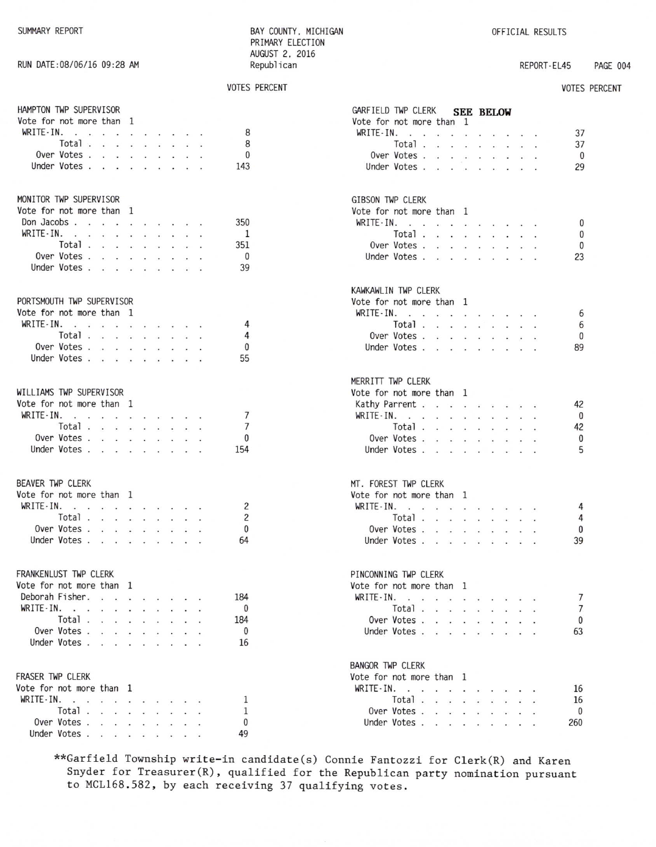#### RUN DATE: 08/06/16 09:28 AM

#### BAY COUNTY, MICHIGAN PRIMARY ELECTION AUGUST 2, 2016 Republican

**VOTES PERCENT** 

#### OFFICIAL RESULTS

#### REPORT-EL45 PAGE 004

#### **VOTES PERCENT**

 $\pmb{0}$  $\pmb{0}$  $\pmb{0}$ 23

42  $\mathbf{0}$ 42  $\pmb{0}$ 5

 $\sqrt{4}$  $\sqrt{4}$  $\pmb{0}$ 39

 $\overline{7}$  $\overline{7}$  $\pmb{0}$ 63

| HAMPTON TWP SUPERVISOR                                |  |  |                | GARFIELD TWP CLERK SEE BELOW            |
|-------------------------------------------------------|--|--|----------------|-----------------------------------------|
| Vote for not more than 1                              |  |  |                | Vote for not more than 1                |
| WRITE-IN.                                             |  |  | 8              | WRITE-IN.                               |
| Total $\ldots$ $\ldots$ $\ldots$ $\ldots$             |  |  | 8              | Total $\ldots$ $\ldots$ $\ldots$        |
| Over Votes                                            |  |  | 0              | Over Votes                              |
| Under Votes                                           |  |  | 143            | Under Votes                             |
|                                                       |  |  |                |                                         |
| MONITOR TWP SUPERVISOR                                |  |  |                | GIBSON TWP CLERK                        |
| Vote for not more than 1                              |  |  |                | Vote for not more than 1                |
| Don Jacobs                                            |  |  | 350            | WRITE-IN.                               |
| WRITE - IN.                                           |  |  | - 1            | Total $\ldots$ $\ldots$ $\ldots$        |
| Total                                                 |  |  | 351            | Over Votes                              |
| Over Votes                                            |  |  | $\mathbf{0}$   | Under Votes                             |
| Under Votes                                           |  |  | 39             |                                         |
|                                                       |  |  |                | KAWKAWLIN TWP CLERK                     |
| PORTSMOUTH TWP SUPERVISOR<br>Vote for not more than 1 |  |  |                | Vote for not more than 1<br>WRITE - IN. |
| WRITE-IN.                                             |  |  | 4              | Total $\ldots$ $\ldots$ $\ldots$        |
| Total                                                 |  |  | 4              | Over Votes                              |
| Over Votes                                            |  |  | 0              | Under Votes                             |
|                                                       |  |  | 55             |                                         |
| Under Votes                                           |  |  |                |                                         |
|                                                       |  |  |                | MERRITT TWP CLERK                       |
| WILLIAMS TWP SUPERVISOR                               |  |  |                | Vote for not more than 1                |
| Vote for not more than 1                              |  |  |                | Kathy Parrent                           |
| WRITE-IN.                                             |  |  | 7              | $WRITE-IN.$                             |
| Total                                                 |  |  | $\overline{7}$ | Total                                   |
| Over Votes                                            |  |  | $\theta$       | Over Votes                              |
| Under Votes                                           |  |  | 154            | Under Votes.                            |
|                                                       |  |  |                |                                         |
| BEAVER TWP CLERK                                      |  |  |                | MT. FOREST TWP CLERK                    |
| Vote for not more than 1                              |  |  |                | Vote for not more than 1                |
| WRITE-IN. $\cdots$                                    |  |  | 2              | WRITE-IN.                               |
| Total $\cdots$ $\cdots$ $\cdots$                      |  |  | $\overline{c}$ | Total                                   |
| Over Votes                                            |  |  | 0              | Over Votes                              |
| Under Votes                                           |  |  | 64             | Under Votes                             |
| FRANKENLUST TWP CLERK                                 |  |  |                | PINCONNING TWP CLERK                    |
| Vote for not more than 1                              |  |  |                | Vote for not more than 1                |
| Deborah Fisher.                                       |  |  | 184            | WRITE-IN.                               |
| WRITE - IN.                                           |  |  | $\mathbf{0}$   | Total                                   |
| Total $\ldots$ $\ldots$ $\ldots$ $\ldots$             |  |  | 184            | Over Votes                              |
|                                                       |  |  |                |                                         |
| Over Votes<br>Under Votes.                            |  |  | $\mathbf{0}$   | Under Votes                             |
|                                                       |  |  | 16             |                                         |
|                                                       |  |  |                | <b>BANGOR TWP CLERK</b>                 |
| FRASER TWP CLERK                                      |  |  |                | Vote for not more than 1                |
| Vote for not more than 1                              |  |  |                | WRITE-IN. $\cdot$                       |
| WRITE-IN.                                             |  |  | 1              | Total                                   |
| Total                                                 |  |  | 1              | Over Votes                              |
| Over Votes                                            |  |  | 0              | Under Votes                             |
| Under Votes                                           |  |  | 49             |                                         |

\*\*Garfield Township write-in candidate(s) Connie Fantozzi for Clerk(R) and Karen Snyder for Treasurer(R), qualified for the Republican party nomination pursuant to MCL168.582, by each receiving 37 qualifying votes.